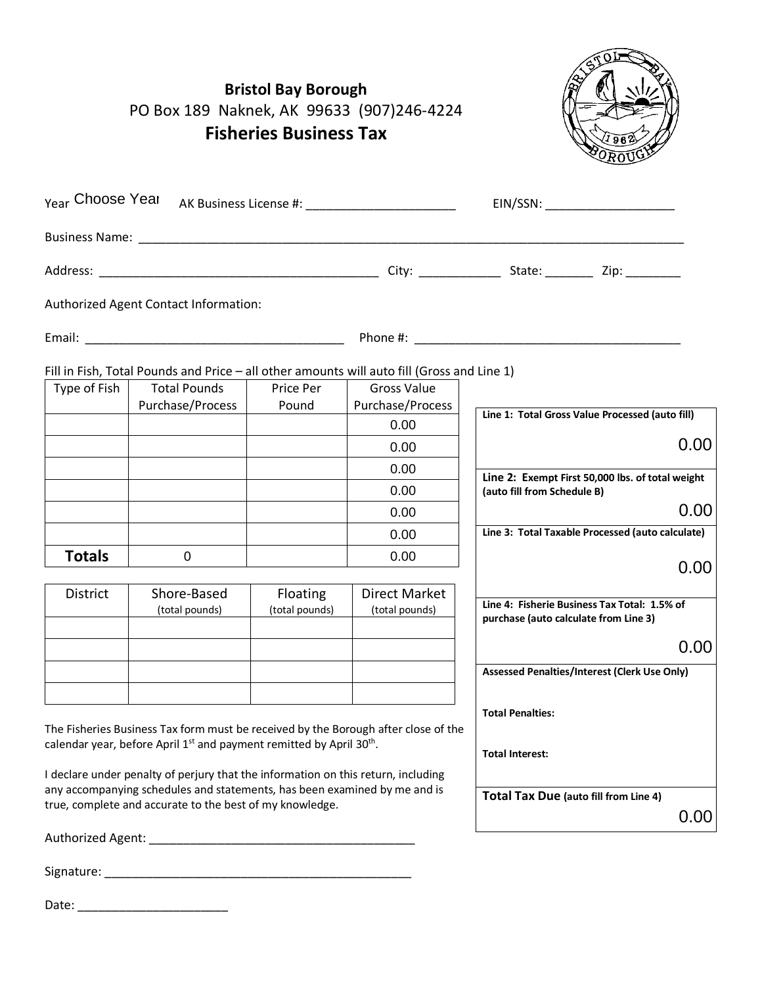|               | <b>Bristol Bay Borough</b><br>PO Box 189 Naknek, AK 99633 (907)246-4224<br><b>Fisheries Business Tax</b>                              |                    |                                        |                                                                                       |
|---------------|---------------------------------------------------------------------------------------------------------------------------------------|--------------------|----------------------------------------|---------------------------------------------------------------------------------------|
|               |                                                                                                                                       |                    |                                        | EIN/SSN: ______________________                                                       |
|               |                                                                                                                                       |                    |                                        |                                                                                       |
|               |                                                                                                                                       |                    |                                        |                                                                                       |
|               | Authorized Agent Contact Information:                                                                                                 |                    |                                        |                                                                                       |
|               |                                                                                                                                       |                    |                                        |                                                                                       |
|               | Fill in Fish, Total Pounds and Price - all other amounts will auto fill (Gross and Line 1)                                            |                    |                                        |                                                                                       |
| Type of Fish  | <b>Total Pounds</b><br>Purchase/Process                                                                                               | Price Per<br>Pound | <b>Gross Value</b><br>Purchase/Process |                                                                                       |
|               |                                                                                                                                       |                    | 0.00                                   | Line 1: Total Gross Value Processed (auto fill)                                       |
|               |                                                                                                                                       |                    | 0.00                                   | 0.00                                                                                  |
|               |                                                                                                                                       |                    | 0.00                                   |                                                                                       |
|               |                                                                                                                                       |                    | 0.00                                   | Line 2: Exempt First 50,000 lbs. of total weight<br>(auto fill from Schedule B)       |
|               |                                                                                                                                       |                    | 0.00                                   | 0.00                                                                                  |
|               |                                                                                                                                       |                    | 0.00                                   | Line 3: Total Taxable Processed (auto calculate)                                      |
| <b>Totals</b> | 0                                                                                                                                     |                    | 0.00                                   | 0.00                                                                                  |
| District      | Shore-Based                                                                                                                           | Floating           | <b>Direct Market</b>                   |                                                                                       |
|               | (total pounds)                                                                                                                        | (total pounds)     | (total pounds)                         | Line 4: Fisherie Business Tax Total: 1.5% of<br>purchase (auto calculate from Line 3) |
|               |                                                                                                                                       |                    |                                        | 0.00                                                                                  |
|               |                                                                                                                                       |                    |                                        | <b>Assessed Penalties/Interest (Clerk Use Only)</b>                                   |
|               |                                                                                                                                       |                    |                                        |                                                                                       |
|               | The Fisheries Business Tax form must be received by the Borough after close of the                                                    |                    |                                        | <b>Total Penalties:</b>                                                               |
|               | calendar year, before April 1 <sup>st</sup> and payment remitted by April 30 <sup>th</sup> .                                          |                    |                                        | <b>Total Interest:</b>                                                                |
|               | I declare under penalty of perjury that the information on this return, including                                                     |                    |                                        |                                                                                       |
|               | any accompanying schedules and statements, has been examined by me and is<br>true, complete and accurate to the best of my knowledge. |                    |                                        | <b>Total Tax Due (auto fill from Line 4)</b><br>0.00                                  |
|               |                                                                                                                                       |                    |                                        |                                                                                       |
|               |                                                                                                                                       |                    |                                        |                                                                                       |

Date: \_\_\_\_\_\_\_\_\_\_\_\_\_\_\_\_\_\_\_\_\_\_